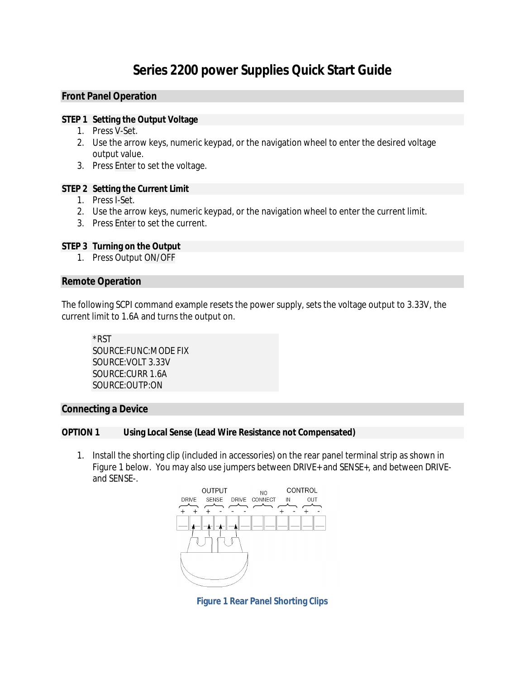# **Series 2200 power Supplies Quick Start Guide**

# **Front Panel Operation**

#### **STEP 1 Setting the Output Voltage**

- 1. Press V-Set.
- 2. Use the arrow keys, numeric keypad, or the navigation wheel to enter the desired voltage output value.
- 3. Press Enter to set the voltage.

## **STEP 2 Setting the Current Limit**

- 1. Press I-Set.
- 2. Use the arrow keys, numeric keypad, or the navigation wheel to enter the current limit.
- 3. Press Enter to set the current.

#### **STEP 3 Turning on the Output**

1. Press Output ON/OFF

### **Remote Operation**

The following SCPI command example resets the power supply, sets the voltage output to 3.33V, the current limit to 1.6A and turns the output on.

*\*RST SOURCE:FUNC:MODE FIX SOURCE:VOLT 3.33V SOURCE:CURR 1.6A SOURCE:OUTP:ON*

# **Connecting a Device**

#### **OPTION 1 Using Local Sense (Lead Wire Resistance not Compensated)**

1. Install the shorting clip (included in accessories) on the rear panel terminal strip as shown in Figure 1 below. You may also use jumpers between DRIVE+ and SENSE+, and between DRIVEand SENSE-.



**Figure 1 Rear Panel Shorting Clips**